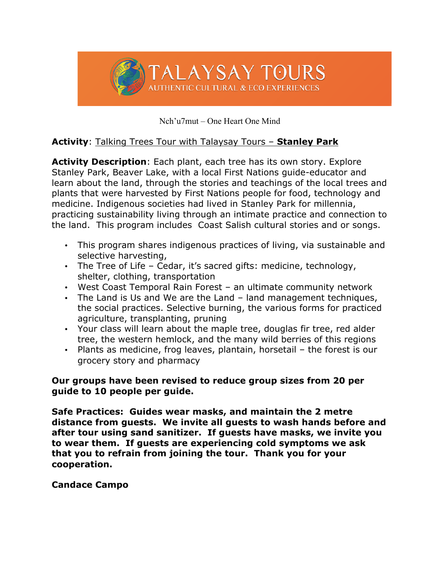

Nch'u7mut – One Heart One Mind

### **Activity**: Talking Trees Tour with Talaysay Tours – **Stanley Park**

**Activity Description**: Each plant, each tree has its own story. Explore Stanley Park, Beaver Lake, with a local First Nations guide-educator and learn about the land, through the stories and teachings of the local trees and plants that were harvested by First Nations people for food, technology and medicine. Indigenous societies had lived in Stanley Park for millennia, practicing sustainability living through an intimate practice and connection to the land. This program includes Coast Salish cultural stories and or songs.

- This program shares indigenous practices of living, via sustainable and selective harvesting,
- The Tree of Life Cedar, it's sacred gifts: medicine, technology, shelter, clothing, transportation
- West Coast Temporal Rain Forest an ultimate community network
- The Land is Us and We are the Land land management techniques, the social practices. Selective burning, the various forms for practiced agriculture, transplanting, pruning
- Your class will learn about the maple tree, douglas fir tree, red alder tree, the western hemlock, and the many wild berries of this regions
- Plants as medicine, frog leaves, plantain, horsetail the forest is our grocery story and pharmacy

### **Our groups have been revised to reduce group sizes from 20 per guide to 10 people per guide.**

**Safe Practices: Guides wear masks, and maintain the 2 metre distance from guests. We invite all guests to wash hands before and after tour using sand sanitizer. If guests have masks, we invite you to wear them. If guests are experiencing cold symptoms we ask that you to refrain from joining the tour. Thank you for your cooperation.**

### **Candace Campo**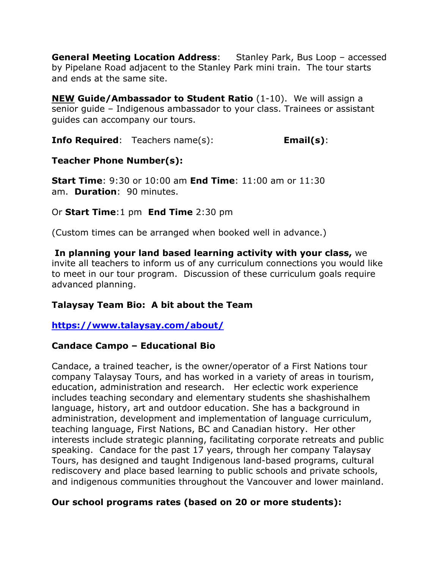**General Meeting Location Address**: Stanley Park, Bus Loop – accessed by Pipelane Road adjacent to the Stanley Park mini train. The tour starts and ends at the same site.

**NEW Guide/Ambassador to Student Ratio** (1-10). We will assign a senior guide – Indigenous ambassador to your class. Trainees or assistant guides can accompany our tours.

**Info Required**: Teachers name(s): **Email(s)**:

# **Teacher Phone Number(s):**

**Start Time**: 9:30 or 10:00 am **End Time**: 11:00 am or 11:30 am. **Duration**: 90 minutes.

Or **Start Time**:1 pm **End Time** 2:30 pm

(Custom times can be arranged when booked well in advance.)

**In planning your land based learning activity with your class,** we invite all teachers to inform us of any curriculum connections you would like to meet in our tour program. Discussion of these curriculum goals require advanced planning.

# **Talaysay Team Bio: A bit about the Team**

# **https://www.talaysay.com/about/**

# **Candace Campo – Educational Bio**

Candace, a trained teacher, is the owner/operator of a First Nations tour company Talaysay Tours, and has worked in a variety of areas in tourism, education, administration and research. Her eclectic work experience includes teaching secondary and elementary students she shashishalhem language, history, art and outdoor education. She has a background in administration, development and implementation of language curriculum, teaching language, First Nations, BC and Canadian history. Her other interests include strategic planning, facilitating corporate retreats and public speaking. Candace for the past 17 years, through her company Talaysay Tours, has designed and taught Indigenous land-based programs, cultural rediscovery and place based learning to public schools and private schools, and indigenous communities throughout the Vancouver and lower mainland.

# **Our school programs rates (based on 20 or more students):**